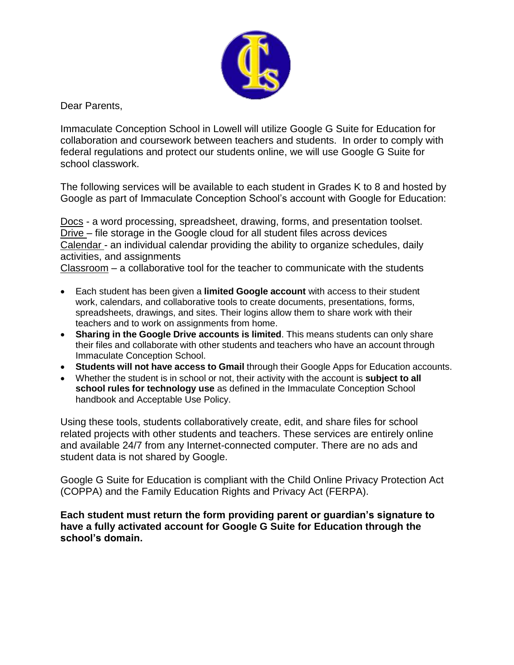

Dear Parents,

Immaculate Conception School in Lowell will utilize Google G Suite for Education for collaboration and coursework between teachers and students. In order to comply with federal regulations and protect our students online, we will use Google G Suite for school classwork.

The following services will be available to each student in Grades K to 8 and hosted by Google as part of Immaculate Conception School's account with Google for Education:

Docs - a word processing, spreadsheet, drawing, forms, and presentation toolset. Drive – file storage in the Google cloud for all student files across devices Calendar - an individual calendar providing the ability to organize schedules, daily activities, and assignments

Classroom – a collaborative tool for the teacher to communicate with the students

- Each student has been given a **limited Google account** with access to their student work, calendars, and collaborative tools to create documents, presentations, forms, spreadsheets, drawings, and sites. Their logins allow them to share work with their teachers and to work on assignments from home.
- **Sharing in the Google Drive accounts is limited**. This means students can only share their files and collaborate with other students and teachers who have an account through Immaculate Conception School.
- **Students will not have access to Gmail** through their Google Apps for Education accounts.
- Whether the student is in school or not, their activity with the account is **subject to all school rules for technology use** as defined in the Immaculate Conception School handbook and Acceptable Use Policy.

Using these tools, students collaboratively create, edit, and share files for school related projects with other students and teachers. These services are entirely online and available 24/7 from any Internet-connected computer. There are no ads and student data is not shared by Google.

Google G Suite for Education is compliant with the Child Online Privacy Protection Act (COPPA) and the Family Education Rights and Privacy Act (FERPA).

**Each student must return the form providing parent or guardian's signature to have a fully activated account for Google G Suite for Education through the school's domain.**